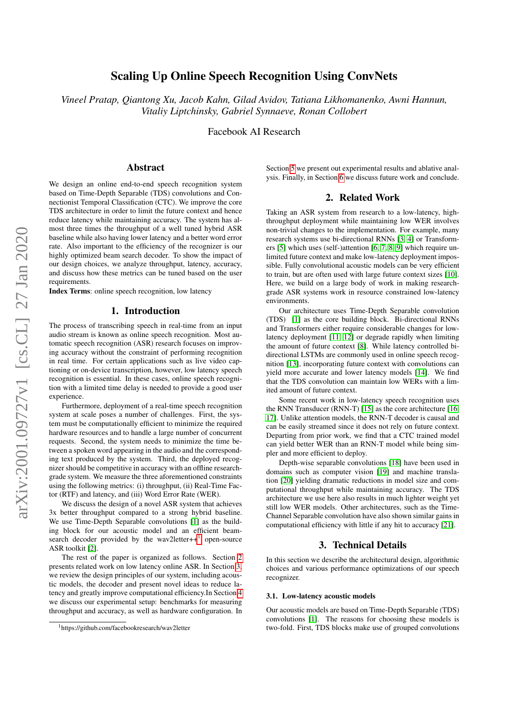# Scaling Up Online Speech Recognition Using ConvNets

*Vineel Pratap, Qiantong Xu, Jacob Kahn, Gilad Avidov, Tatiana Likhomanenko, Awni Hannun, Vitaliy Liptchinsky, Gabriel Synnaeve, Ronan Collobert*

Facebook AI Research

# Abstract

We design an online end-to-end speech recognition system based on Time-Depth Separable (TDS) convolutions and Connectionist Temporal Classification (CTC). We improve the core TDS architecture in order to limit the future context and hence reduce latency while maintaining accuracy. The system has almost three times the throughput of a well tuned hybrid ASR baseline while also having lower latency and a better word error rate. Also important to the efficiency of the recognizer is our highly optimized beam search decoder. To show the impact of our design choices, we analyze throughput, latency, accuracy, and discuss how these metrics can be tuned based on the user requirements.

<span id="page-0-3"></span>Index Terms: online speech recognition, low latency

## 1. Introduction

The process of transcribing speech in real-time from an input audio stream is known as online speech recognition. Most automatic speech recognition (ASR) research focuses on improving accuracy without the constraint of performing recognition in real time. For certain applications such as live video captioning or on-device transcription, however, low latency speech recognition is essential. In these cases, online speech recognition with a limited time delay is needed to provide a good user experience.

Furthermore, deployment of a real-time speech recognition system at scale poses a number of challenges. First, the system must be computationally efficient to minimize the required hardware resources and to handle a large number of concurrent requests. Second, the system needs to minimize the time between a spoken word appearing in the audio and the corresponding text produced by the system. Third, the deployed recognizer should be competitive in accuracy with an offline researchgrade system. We measure the three aforementioned constraints using the following metrics: (i) throughput, (ii) Real-Time Factor (RTF) and latency, and (iii) Word Error Rate (WER).

We discuss the design of a novel ASR system that achieves 3x better throughput compared to a strong hybrid baseline. We use Time-Depth Separable convolutions [\[1\]](#page-4-0) as the building block for our acoustic model and an efficient beamsearch decoder provided by the wav2letter $++<sup>1</sup>$  $++<sup>1</sup>$  $++<sup>1</sup>$  open-source ASR toolkit [\[2\]](#page-4-1).

The rest of the paper is organized as follows. Section [2](#page-0-1) presents related work on low latency online ASR. In Section [3,](#page-0-2) we review the design principles of our system, including acoustic models, the decoder and present novel ideas to reduce latency and greatly improve computational efficiency.In Section [4](#page-2-0) we discuss our experimental setup: benchmarks for measuring throughput and accuracy, as well as hardware configuration. In

Section [5](#page-2-1) we present out experimental results and ablative analysis. Finally, in Section [6](#page-4-2) we discuss future work and conclude.

## 2. Related Work

<span id="page-0-1"></span>Taking an ASR system from research to a low-latency, highthroughput deployment while maintaining low WER involves non-trivial changes to the implementation. For example, many research systems use bi-directional RNNs [\[3,](#page-4-3) [4\]](#page-4-4) or Transformers [\[5\]](#page-4-5) which uses (self-)attention [\[6,](#page-4-6) [7,](#page-4-7) [8,](#page-4-8) [9\]](#page-4-9) which require unlimited future context and make low-latency deployment impossible. Fully convolutional acoustic models can be very efficient to train, but are often used with large future context sizes [\[10\]](#page-4-10). Here, we build on a large body of work in making researchgrade ASR systems work in resource constrained low-latency environments.

Our architecture uses Time-Depth Separable convolution (TDS) [\[1\]](#page-4-0) as the core building block. Bi-directional RNNs and Transformers either require considerable changes for lowlatency deployment [\[11,](#page-4-11) [12\]](#page-4-12) or degrade rapidly when limiting the amount of future context [\[8\]](#page-4-8). While latency controlled bidirectional LSTMs are commonly used in online speech recognition [\[13\]](#page-4-13), incorporating future context with convolutions can yield more accurate and lower latency models [\[14\]](#page-4-14). We find that the TDS convolution can maintain low WERs with a limited amount of future context.

Some recent work in low-latency speech recognition uses the RNN Transducer (RNN-T) [\[15\]](#page-4-15) as the core architecture [\[16,](#page-4-16) [17\]](#page-4-17). Unlike attention models, the RNN-T decoder is causal and can be easily streamed since it does not rely on future context. Departing from prior work, we find that a CTC trained model can yield better WER than an RNN-T model while being simpler and more efficient to deploy.

Depth-wise separable convolutions [\[18\]](#page-4-18) have been used in domains such as computer vision [\[19\]](#page-4-19) and machine translation [\[20\]](#page-4-20) yielding dramatic reductions in model size and computational throughput while maintaining accuracy. The TDS architecture we use here also results in much lighter weight yet still low WER models. Other architectures, such as the Time-Channel Separable convolution have also shown similar gains in computational efficiency with little if any hit to accuracy [\[21\]](#page-4-21).

# 3. Technical Details

<span id="page-0-2"></span>In this section we describe the architectural design, algorithmic choices and various performance optimizations of our speech recognizer.

# 3.1. Low-latency acoustic models

Our acoustic models are based on Time-Depth Separable (TDS) convolutions [\[1\]](#page-4-0). The reasons for choosing these models is two-fold. First, TDS blocks make use of grouped convolutions

<span id="page-0-0"></span><sup>1</sup>https://github.com/facebookresearch/wav2letter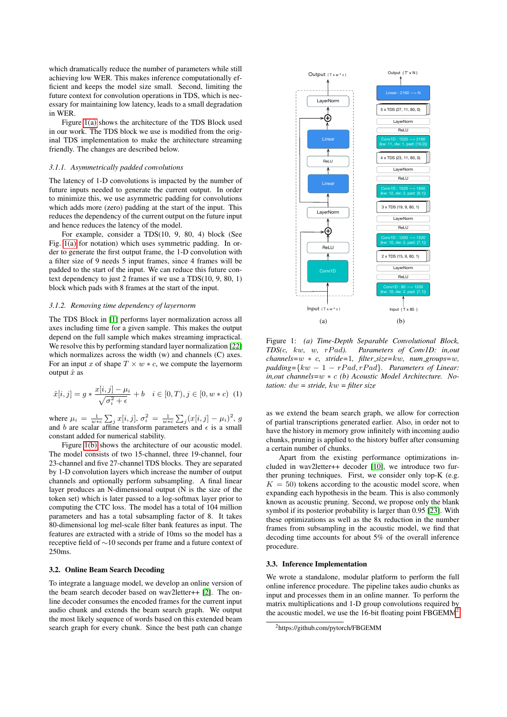which dramatically reduce the number of parameters while still achieving low WER. This makes inference computationally efficient and keeps the model size small. Second, limiting the future context for convolution operations in TDS, which is necessary for maintaining low latency, leads to a small degradation in WER.

Figure [1\(a\)](#page-1-0) shows the architecture of the TDS Block used in our work. The TDS block we use is modified from the original TDS implementation to make the architecture streaming friendly. The changes are described below.

#### *3.1.1. Asymmetrically padded convolutions*

The latency of 1-D convolutions is impacted by the number of future inputs needed to generate the current output. In order to minimize this, we use asymmetric padding for convolutions which adds more (zero) padding at the start of the input. This reduces the dependency of the current output on the future input and hence reduces the latency of the model.

For example, consider a TDS(10, 9, 80, 4) block (See Fig. [1\(a\)](#page-1-0) for notation) which uses symmetric padding. In order to generate the first output frame, the 1-D convolution with a filter size of 9 needs 5 input frames, since 4 frames will be padded to the start of the input. We can reduce this future context dependency to just 2 frames if we use a TDS(10, 9, 80, 1) block which pads with 8 frames at the start of the input.

#### *3.1.2. Removing time dependency of layernorm*

The TDS Block in [\[1\]](#page-4-0) performs layer normalization across all axes including time for a given sample. This makes the output depend on the full sample which makes streaming impractical. We resolve this by performing standard layer normalization [\[22\]](#page-4-22) which normalizes across the width (w) and channels (C) axes. For an input x of shape  $T \times w * c$ , we compute the layernorm output  $\hat{x}$  as

$$
\hat{x}[i,j] = g * \frac{x[i,j] - \mu_i}{\sqrt{\sigma_i^2 + \epsilon}} + b \quad i \in [0,T), j \in [0, w * c) \tag{1}
$$

where  $\mu_i = \frac{1}{w * c} \sum_j x[i, j], \sigma_i^2 = \frac{1}{w * c} \sum_j (x[i, j] - \mu_i)^2$ , g and b are scalar affine transform parameters and  $\epsilon$  is a small constant added for numerical stability.

Figure [1\(b\)](#page-1-1) shows the architecture of our acoustic model. The model consists of two 15-channel, three 19-channel, four 23-channel and five 27-channel TDS blocks. They are separated by 1-D convolution layers which increase the number of output channels and optionally perform subsampling. A final linear layer produces an N-dimensional output (N is the size of the token set) which is later passed to a log-softmax layer prior to computing the CTC loss. The model has a total of 104 million parameters and has a total subsampling factor of 8. It takes 80-dimensional log mel-scale filter bank features as input. The features are extracted with a stride of 10ms so the model has a receptive field of ∼10 seconds per frame and a future context of 250ms.

### 3.2. Online Beam Search Decoding

To integrate a language model, we develop an online version of the beam search decoder based on wav2letter++ [\[2\]](#page-4-1). The online decoder consumes the encoded frames for the current input audio chunk and extends the beam search graph. We output the most likely sequence of words based on this extended beam search graph for every chunk. Since the best path can change

<span id="page-1-0"></span>

<span id="page-1-1"></span>Figure 1: *(a) Time-Depth Separable Convolutional Block, TDS(*c*,* kw*,* w*,* rP ad*). Parameters of Conv1D: in,out channels=*w ∗ c*, stride=*1*, filter size=*kw*, num groups=*w*,*  $padding={kw-1-rPad, rPad}.$  *Parameters of Linear: in,out channels=*w ∗ c *(b) Acoustic Model Architecture. Notation:* dw *= stride,* kw *= filter size*

as we extend the beam search graph, we allow for correction of partial transcriptions generated earlier. Also, in order not to have the history in memory grow infinitely with incoming audio chunks, pruning is applied to the history buffer after consuming a certain number of chunks.

Apart from the existing performance optimizations included in wav2letter++ decoder [\[10\]](#page-4-10), we introduce two further pruning techniques. First, we consider only top-K (e.g.  $K = 50$ ) tokens according to the acoustic model score, when expanding each hypothesis in the beam. This is also commonly known as acoustic pruning. Second, we propose only the blank symbol if its posterior probability is larger than 0.95 [\[23\]](#page-4-23). With these optimizations as well as the 8x reduction in the number frames from subsampling in the acoustic model, we find that decoding time accounts for about 5% of the overall inference procedure.

### 3.3. Inference Implementation

We wrote a standalone, modular platform to perform the full online inference procedure. The pipeline takes audio chunks as input and processes them in an online manner. To perform the matrix multiplications and 1-D group convolutions required by the acoustic model, we use the 16-bit floating point  $FBGEMM<sup>2</sup>$  $FBGEMM<sup>2</sup>$  $FBGEMM<sup>2</sup>$ 

<span id="page-1-2"></span><sup>2</sup>https://github.com/pytorch/FBGEMM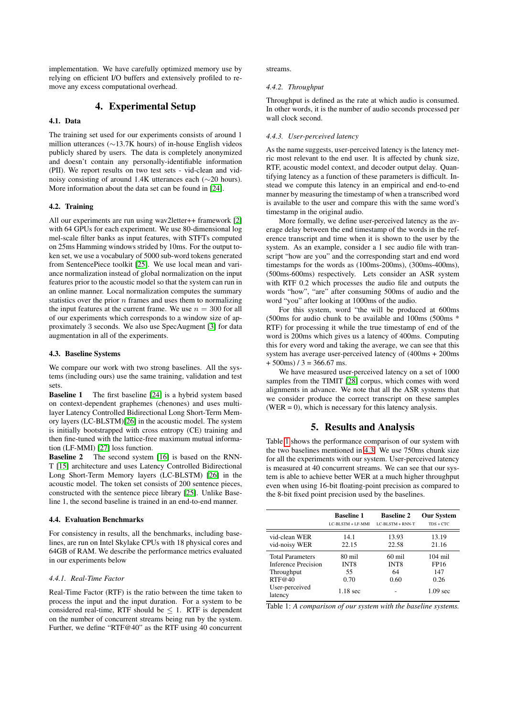implementation. We have carefully optimized memory use by relying on efficient I/O buffers and extensively profiled to remove any excess computational overhead.

# 4. Experimental Setup

### <span id="page-2-0"></span>4.1. Data

The training set used for our experiments consists of around 1 million utterances (∼13.7K hours) of in-house English videos publicly shared by users. The data is completely anonymized and doesn't contain any personally-identifiable information (PII). We report results on two test sets - vid-clean and vidnoisy consisting of around 1.4K utterances each (∼20 hours). More information about the data set can be found in [\[24\]](#page-4-24).

### 4.2. Training

All our experiments are run using wav2letter++ framework [\[2\]](#page-4-1) with 64 GPUs for each experiment. We use 80-dimensional log mel-scale filter banks as input features, with STFTs computed on 25ms Hamming windows strided by 10ms. For the output token set, we use a vocabulary of 5000 sub-word tokens generated from SentencePiece toolkit [\[25\]](#page-4-25). We use local mean and variance normalization instead of global normalization on the input features prior to the acoustic model so that the system can run in an online manner. Local normalization computes the summary statistics over the prior  $n$  frames and uses them to normalizing the input features at the current frame. We use  $n = 300$  for all of our experiments which corresponds to a window size of approximately 3 seconds. We also use SpecAugment [\[3\]](#page-4-3) for data augmentation in all of the experiments.

#### <span id="page-2-3"></span>4.3. Baseline Systems

We compare our work with two strong baselines. All the systems (including ours) use the same training, validation and test sets.

Baseline 1 The first baseline [\[24\]](#page-4-24) is a hybrid system based on context-dependent graphemes (chenones) and uses multilayer Latency Controlled Bidirectional Long Short-Term Memory layers (LC-BLSTM)[\[26\]](#page-4-26) in the acoustic model. The system is initially bootstrapped with cross entropy (CE) training and then fine-tuned with the lattice-free maximum mutual information (LF-MMI) [\[27\]](#page-4-27) loss function.

Baseline 2 The second system [\[16\]](#page-4-16) is based on the RNN-T [\[15\]](#page-4-15) architecture and uses Latency Controlled Bidirectional Long Short-Term Memory layers (LC-BLSTM) [\[26\]](#page-4-26) in the acoustic model. The token set consists of 200 sentence pieces, constructed with the sentence piece library [\[25\]](#page-4-25). Unlike Baseline 1, the second baseline is trained in an end-to-end manner.

### 4.4. Evaluation Benchmarks

For consistency in results, all the benchmarks, including baselines, are run on Intel Skylake CPUs with 18 physical cores and 64GB of RAM. We describe the performance metrics evaluated in our experiments below

### *4.4.1. Real-Time Factor*

Real-Time Factor (RTF) is the ratio between the time taken to process the input and the input duration. For a system to be considered real-time, RTF should be  $\leq 1$ . RTF is dependent on the number of concurrent streams being run by the system. Further, we define "RTF@40" as the RTF using 40 concurrent streams.

#### *4.4.2. Throughput*

Throughput is defined as the rate at which audio is consumed. In other words, it is the number of audio seconds processed per wall clock second.

#### <span id="page-2-4"></span>*4.4.3. User-perceived latency*

As the name suggests, user-perceived latency is the latency metric most relevant to the end user. It is affected by chunk size, RTF, acoustic model context, and decoder output delay. Quantifying latency as a function of these parameters is difficult. Instead we compute this latency in an empirical and end-to-end manner by measuring the timestamp of when a transcribed word is available to the user and compare this with the same word's timestamp in the original audio.

More formally, we define user-perceived latency as the average delay between the end timestamp of the words in the reference transcript and time when it is shown to the user by the system. As an example, consider a 1 sec audio file with transcript "how are you" and the corresponding start and end word timestamps for the words as (100ms-200ms), (300ms-400ms), (500ms-600ms) respectively. Lets consider an ASR system with RTF 0.2 which processes the audio file and outputs the words "how", "are" after consuming 500ms of audio and the word "you" after looking at 1000ms of the audio.

For this system, word "the will be produced at 600ms (500ms for audio chunk to be available and 100ms (500ms \* RTF) for processing it while the true timestamp of end of the word is 200ms which gives us a latency of 400ms. Computing this for every word and taking the average, we can see that this system has average user-perceived latency of (400ms + 200ms  $+ 500$ ms) / 3 = 366.67 ms.

We have measured user-perceived latency on a set of 1000 samples from the TIMIT [\[28\]](#page-4-28) corpus, which comes with word alignments in advance. We note that all the ASR systems that we consider produce the correct transcript on these samples  $(WER = 0)$ , which is necessary for this latency analysis.

## 5. Results and Analysis

<span id="page-2-1"></span>Table [1](#page-2-2) shows the performance comparison of our system with the two baselines mentioned in [4.3.](#page-2-3) We use 750ms chunk size for all the experiments with our system. User-perceived latency is measured at 40 concurrent streams. We can see that our system is able to achieve better WER at a much higher throughput even when using 16-bit floating-point precision as compared to the 8-bit fixed point precision used by the baselines.

<span id="page-2-2"></span>

|                            | <b>Baseline 1</b>  | <b>Baseline 2</b>  | <b>Our System</b>  |
|----------------------------|--------------------|--------------------|--------------------|
|                            | LC-BLSTM + LF-MMI  | $LC-BLSTM + RNN-T$ | $TDS + CTC$        |
| vid-clean WER              | 14.1               | 13.93              | 13.19              |
| vid-noisy WER              | 22.15              | 22.58              | 21.16              |
| <b>Total Parameters</b>    | 80 mil             | $60$ mil           | $104 \text{ mil}$  |
| <b>Inference Precision</b> | INT8               | INT <sub>8</sub>   | FP16               |
| Throughput                 | 55                 | 64                 | 147                |
| RTF@40                     | 0.70               | 0.60               | 0.26               |
| User-perceived<br>latency  | $1.18 \text{ sec}$ |                    | $1.09 \text{ sec}$ |

Table 1: *A comparison of our system with the baseline systems.*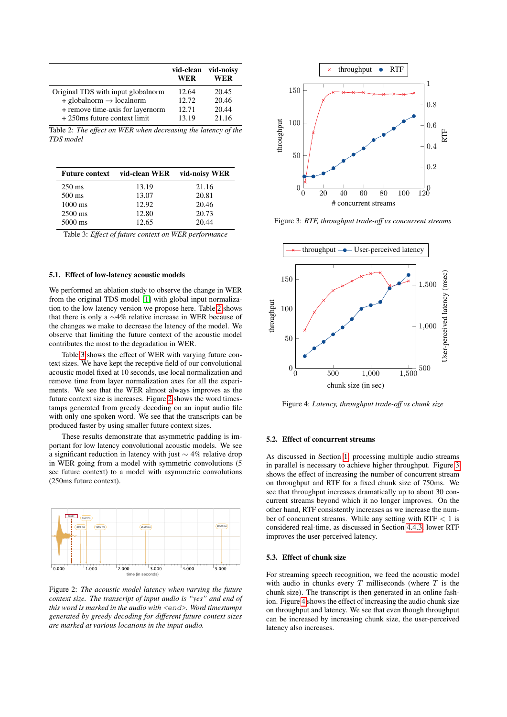<span id="page-3-0"></span>

|                                        | vid-clean<br>WER | vid-noisv<br>WER |
|----------------------------------------|------------------|------------------|
| Original TDS with input global norm    | 12.64            | 20.45            |
| $+$ globalnorm $\rightarrow$ localnorm | 12.72            | 20.46            |
| + remove time-axis for layernorm       | 12.71            | 20.44            |
| +250ms future context limit            | 13.19            | 21.16            |

Table 2: *The effect on WER when decreasing the latency of the TDS model*

<span id="page-3-1"></span>

|                   | Future context vid-clean WER vid-noisy WER |       |
|-------------------|--------------------------------------------|-------|
| $250 \text{ ms}$  | 13.19                                      | 21.16 |
| $500 \text{ ms}$  | 13.07                                      | 20.81 |
| $1000 \text{ ms}$ | 12.92                                      | 20.46 |
| $2500$ ms         | 12.80                                      | 20.73 |
| 5000 ms           | 12.65                                      | 20.44 |

Table 3: *Effect of future context on WER performance*

### 5.1. Effect of low-latency acoustic models

We performed an ablation study to observe the change in WER from the original TDS model [\[1\]](#page-4-0) with global input normalization to the low latency version we propose here. Table [2](#page-3-0) shows that there is only a ∼4% relative increase in WER because of the changes we make to decrease the latency of the model. We observe that limiting the future context of the acoustic model contributes the most to the degradation in WER.

Table [3](#page-3-1) shows the effect of WER with varying future context sizes. We have kept the receptive field of our convolutional acoustic model fixed at 10 seconds, use local normalization and remove time from layer normalization axes for all the experiments. We see that the WER almost always improves as the future context size is increases. Figure [2](#page-3-2) shows the word timestamps generated from greedy decoding on an input audio file with only one spoken word. We see that the transcripts can be produced faster by using smaller future context sizes.

These results demonstrate that asymmetric padding is important for low latency convolutional acoustic models. We see a significant reduction in latency with just  $\sim$  4% relative drop in WER going from a model with symmetric convolutions (5 sec future context) to a model with asymmetric convolutions (250ms future context).

<span id="page-3-2"></span>

Figure 2: *The acoustic model latency when varying the future context size. The transcript of input audio is "yes" and end of this word is marked in the audio with* <end>*. Word timestamps generated by greedy decoding for different future context sizes are marked at various locations in the input audio.*

<span id="page-3-3"></span>

Figure 3: *RTF, throughput trade-off vs concurrent streams*

<span id="page-3-4"></span>

Figure 4: *Latency, throughput trade-off vs chunk size*

#### 5.2. Effect of concurrent streams

As discussed in Section [1,](#page-0-3) processing multiple audio streams in parallel is necessary to achieve higher throughput. Figure [3](#page-3-3) shows the effect of increasing the number of concurrent stream on throughput and RTF for a fixed chunk size of 750ms. We see that throughput increases dramatically up to about 30 concurrent streams beyond which it no longer improves. On the other hand, RTF consistently increases as we increase the number of concurrent streams. While any setting with  $RTF < 1$  is considered real-time, as discussed in Section [4.4.3,](#page-2-4) lower RTF improves the user-perceived latency.

### 5.3. Effect of chunk size

For streaming speech recognition, we feed the acoustic model with audio in chunks every  $T$  milliseconds (where  $T$  is the chunk size). The transcript is then generated in an online fashion. Figure [4](#page-3-4) shows the effect of increasing the audio chunk size on throughput and latency. We see that even though throughput can be increased by increasing chunk size, the user-perceived latency also increases.